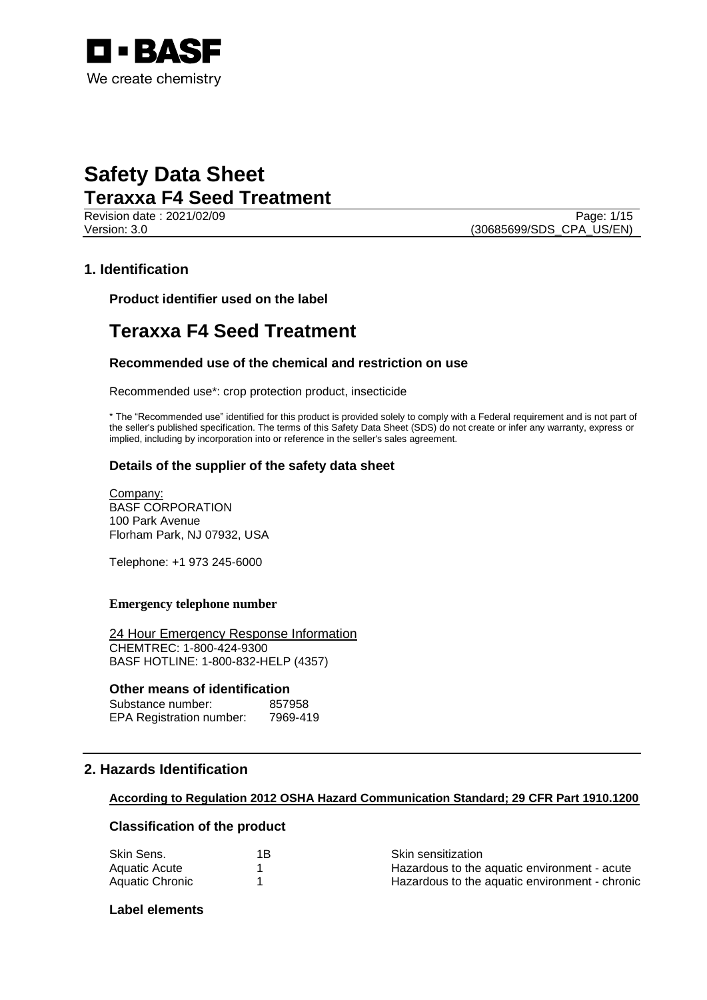

Revision date : 2021/02/09 Page: 1/15 Version: 3.0 (30685699/SDS\_CPA\_US/EN)

# **1. Identification**

**Product identifier used on the label**

# **Teraxxa F4 Seed Treatment**

# **Recommended use of the chemical and restriction on use**

Recommended use\*: crop protection product, insecticide

\* The "Recommended use" identified for this product is provided solely to comply with a Federal requirement and is not part of the seller's published specification. The terms of this Safety Data Sheet (SDS) do not create or infer any warranty, express or implied, including by incorporation into or reference in the seller's sales agreement.

# **Details of the supplier of the safety data sheet**

Company: BASF CORPORATION 100 Park Avenue Florham Park, NJ 07932, USA

Telephone: +1 973 245-6000

### **Emergency telephone number**

24 Hour Emergency Response Information CHEMTREC: 1-800-424-9300 BASF HOTLINE: 1-800-832-HELP (4357)

# **Other means of identification**

| Substance number:               | 857958   |
|---------------------------------|----------|
| <b>EPA Registration number:</b> | 7969-419 |

# **2. Hazards Identification**

### **According to Regulation 2012 OSHA Hazard Communication Standard; 29 CFR Part 1910.1200**

# **Classification of the product**

| Skin Sens.      | 1B. | <b>Skin sensitization</b>                      |
|-----------------|-----|------------------------------------------------|
| Aquatic Acute   |     | Hazardous to the aquatic environment - acute   |
| Aquatic Chronic |     | Hazardous to the aquatic environment - chronic |

# **Label elements**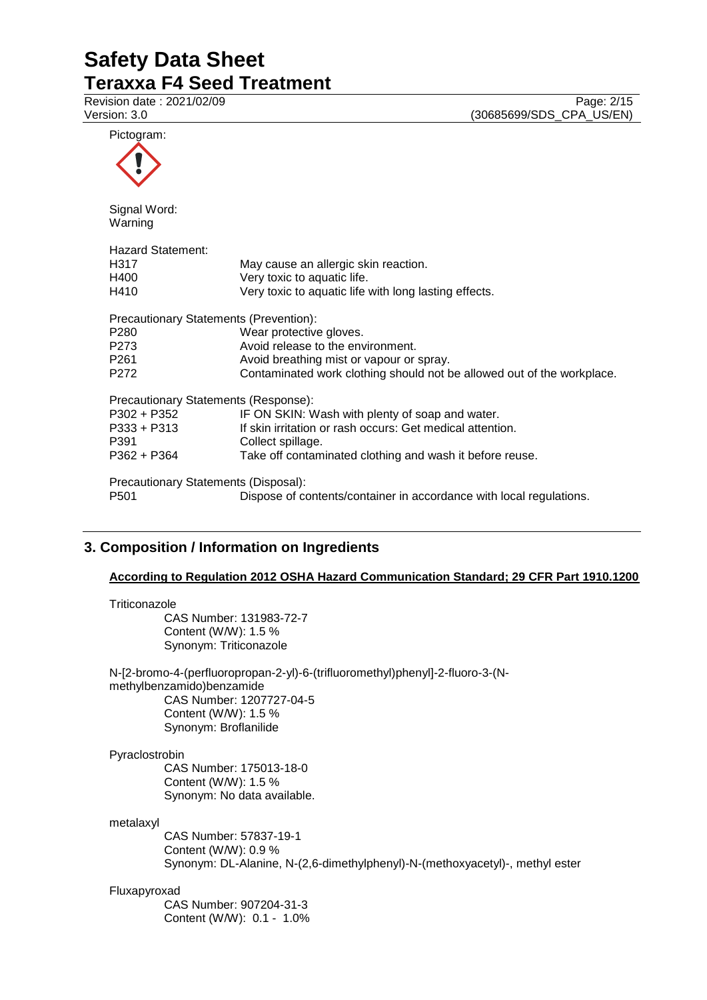Revision date : 2021/02/09<br>
Version: 3.0 (30685699/SDS\_CPA\_US/EN) (30685699/SDS\_CPA\_US/EN)

| Pictogram:                             |                                                                        |
|----------------------------------------|------------------------------------------------------------------------|
| Signal Word:<br>Warning                |                                                                        |
| <b>Hazard Statement:</b>               |                                                                        |
| H317                                   | May cause an allergic skin reaction.                                   |
| H400                                   | Very toxic to aquatic life.                                            |
| H410                                   | Very toxic to aquatic life with long lasting effects.                  |
| Precautionary Statements (Prevention): |                                                                        |
| P <sub>280</sub>                       | Wear protective gloves.                                                |
| P <sub>273</sub>                       | Avoid release to the environment.                                      |
| P <sub>261</sub>                       | Avoid breathing mist or vapour or spray.                               |
| P272                                   | Contaminated work clothing should not be allowed out of the workplace. |
| Precautionary Statements (Response):   |                                                                        |
| $P302 + P352$                          | IF ON SKIN: Wash with plenty of soap and water.                        |
| $P333 + P313$                          | If skin irritation or rash occurs: Get medical attention.              |
| P391                                   | Collect spillage.                                                      |
| P362 + P364                            | Take off contaminated clothing and wash it before reuse.               |
| Precautionary Statements (Disposal):   |                                                                        |
| P <sub>501</sub>                       | Dispose of contents/container in accordance with local regulations.    |

# **3. Composition / Information on Ingredients**

# **According to Regulation 2012 OSHA Hazard Communication Standard; 29 CFR Part 1910.1200**

| Triticonazole<br>CAS Number: 131983-72-7<br>Content (W/W): 1.5 %<br>Synonym: Triticonazole                                                                                              |
|-----------------------------------------------------------------------------------------------------------------------------------------------------------------------------------------|
| N-[2-bromo-4-(perfluoropropan-2-yl)-6-(trifluoromethyl)phenyl]-2-fluoro-3-(N-<br>methylbenzamido)benzamide<br>CAS Number: 1207727-04-5<br>Content (W/W): 1.5 %<br>Synonym: Broflanilide |
| Pyraclostrobin<br>CAS Number: 175013-18-0<br>Content (W/W): 1.5 %<br>Synonym: No data available.                                                                                        |
| metalaxyl<br>CAS Number: 57837-19-1<br>Content (W/W): 0.9 %<br>Synonym: DL-Alanine, N-(2,6-dimethylphenyl)-N-(methoxyacetyl)-, methyl ester                                             |
| Fluxapyroxad<br>CAS Number: 907204-31-3<br>Content (W/W): 0.1 - 1.0%                                                                                                                    |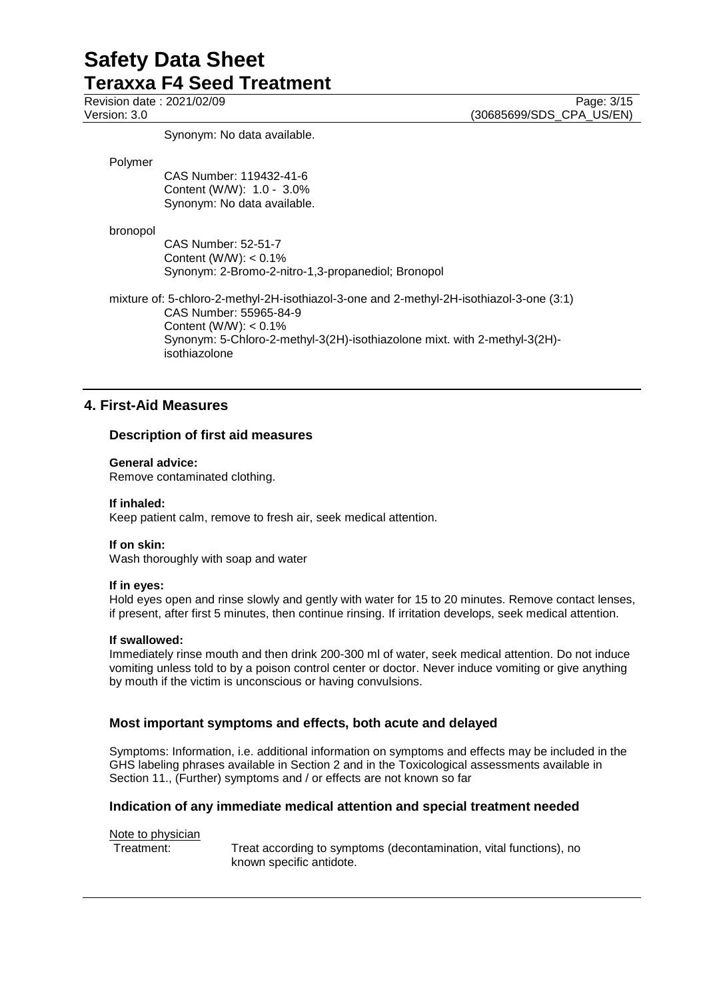Synonym: No data available.

#### Polymer

CAS Number: 119432-41-6 Content (W/W): 1.0 - 3.0% Synonym: No data available.

### bronopol

CAS Number: 52-51-7 Content (W/W):  $< 0.1\%$ Synonym: 2-Bromo-2-nitro-1,3-propanediol; Bronopol

mixture of: 5-chloro-2-methyl-2H-isothiazol-3-one and 2-methyl-2H-isothiazol-3-one (3:1) CAS Number: 55965-84-9 Content (W/W): < 0.1% Synonym: 5-Chloro-2-methyl-3(2H)-isothiazolone mixt. with 2-methyl-3(2H) isothiazolone

# **4. First-Aid Measures**

# **Description of first aid measures**

### **General advice:**

Remove contaminated clothing.

### **If inhaled:**

Keep patient calm, remove to fresh air, seek medical attention.

# **If on skin:**

Wash thoroughly with soap and water

# **If in eyes:**

Hold eyes open and rinse slowly and gently with water for 15 to 20 minutes. Remove contact lenses, if present, after first 5 minutes, then continue rinsing. If irritation develops, seek medical attention.

# **If swallowed:**

Immediately rinse mouth and then drink 200-300 ml of water, seek medical attention. Do not induce vomiting unless told to by a poison control center or doctor. Never induce vomiting or give anything by mouth if the victim is unconscious or having convulsions.

# **Most important symptoms and effects, both acute and delayed**

Symptoms: Information, i.e. additional information on symptoms and effects may be included in the GHS labeling phrases available in Section 2 and in the Toxicological assessments available in Section 11., (Further) symptoms and / or effects are not known so far

# **Indication of any immediate medical attention and special treatment needed**

# Note to physician

Treatment: Treat according to symptoms (decontamination, vital functions), no known specific antidote.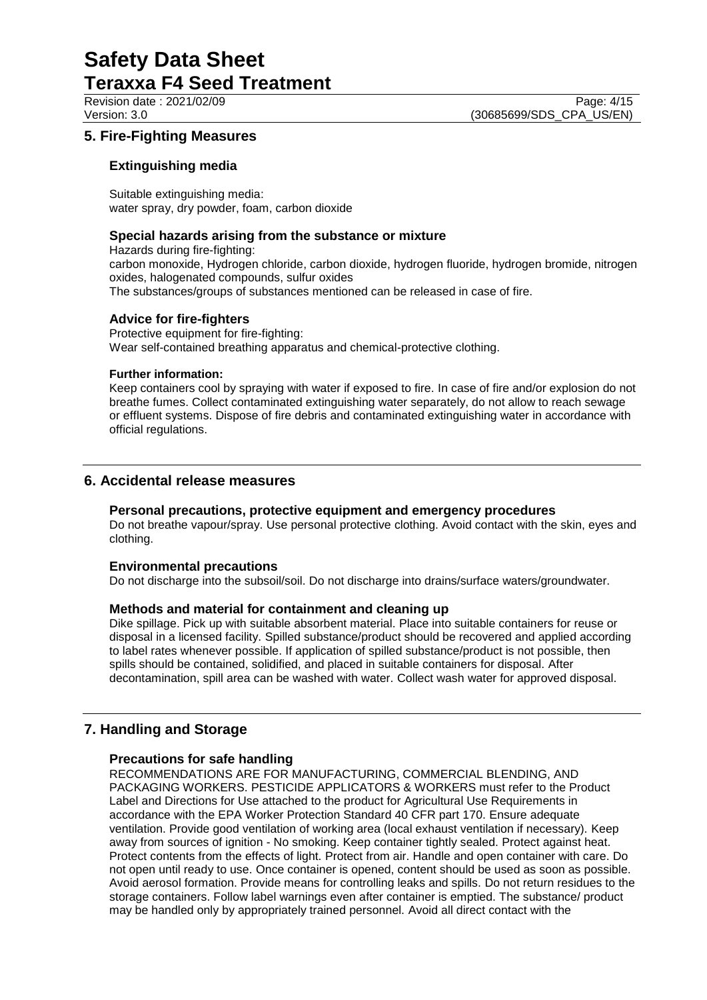Revision date : 2021/02/09 Page: 4/15<br>Version: 3.0 (30685699/SDS CPA US/EN) (30685699/SDS\_CPA\_US/EN)

# **5. Fire-Fighting Measures**

### **Extinguishing media**

Suitable extinguishing media: water spray, dry powder, foam, carbon dioxide

#### **Special hazards arising from the substance or mixture**

Hazards during fire-fighting: carbon monoxide, Hydrogen chloride, carbon dioxide, hydrogen fluoride, hydrogen bromide, nitrogen oxides, halogenated compounds, sulfur oxides The substances/groups of substances mentioned can be released in case of fire.

### **Advice for fire-fighters**

Protective equipment for fire-fighting: Wear self-contained breathing apparatus and chemical-protective clothing.

#### **Further information:**

Keep containers cool by spraying with water if exposed to fire. In case of fire and/or explosion do not breathe fumes. Collect contaminated extinguishing water separately, do not allow to reach sewage or effluent systems. Dispose of fire debris and contaminated extinguishing water in accordance with official regulations.

# **6. Accidental release measures**

#### **Personal precautions, protective equipment and emergency procedures**

Do not breathe vapour/spray. Use personal protective clothing. Avoid contact with the skin, eyes and clothing.

#### **Environmental precautions**

Do not discharge into the subsoil/soil. Do not discharge into drains/surface waters/groundwater.

#### **Methods and material for containment and cleaning up**

Dike spillage. Pick up with suitable absorbent material. Place into suitable containers for reuse or disposal in a licensed facility. Spilled substance/product should be recovered and applied according to label rates whenever possible. If application of spilled substance/product is not possible, then spills should be contained, solidified, and placed in suitable containers for disposal. After decontamination, spill area can be washed with water. Collect wash water for approved disposal.

# **7. Handling and Storage**

# **Precautions for safe handling**

RECOMMENDATIONS ARE FOR MANUFACTURING, COMMERCIAL BLENDING, AND PACKAGING WORKERS. PESTICIDE APPLICATORS & WORKERS must refer to the Product Label and Directions for Use attached to the product for Agricultural Use Requirements in accordance with the EPA Worker Protection Standard 40 CFR part 170. Ensure adequate ventilation. Provide good ventilation of working area (local exhaust ventilation if necessary). Keep away from sources of ignition - No smoking. Keep container tightly sealed. Protect against heat. Protect contents from the effects of light. Protect from air. Handle and open container with care. Do not open until ready to use. Once container is opened, content should be used as soon as possible. Avoid aerosol formation. Provide means for controlling leaks and spills. Do not return residues to the storage containers. Follow label warnings even after container is emptied. The substance/ product may be handled only by appropriately trained personnel. Avoid all direct contact with the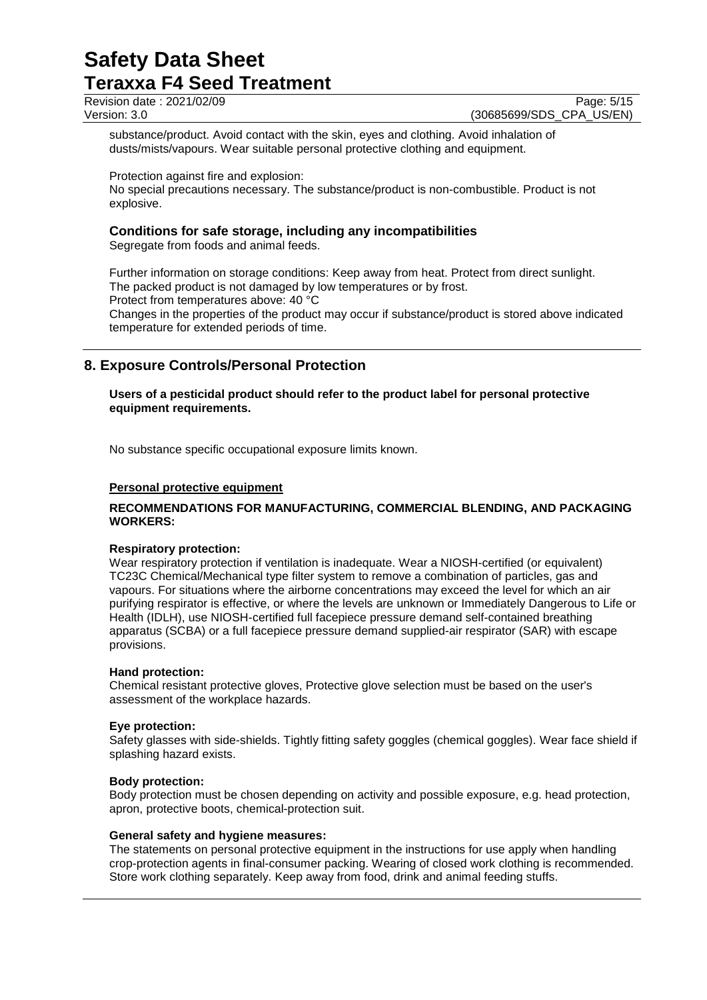### Revision date : 2021/02/09 Page: 5/15<br>Version: 3.0 (30685699/SDS\_CPA\_US/EN) (30685699/SDS\_CPA\_US/EN)

substance/product. Avoid contact with the skin, eyes and clothing. Avoid inhalation of dusts/mists/vapours. Wear suitable personal protective clothing and equipment.

Protection against fire and explosion:

No special precautions necessary. The substance/product is non-combustible. Product is not explosive.

# **Conditions for safe storage, including any incompatibilities**

Segregate from foods and animal feeds.

Further information on storage conditions: Keep away from heat. Protect from direct sunlight. The packed product is not damaged by low temperatures or by frost. Protect from temperatures above: 40 °C Changes in the properties of the product may occur if substance/product is stored above indicated temperature for extended periods of time.

# **8. Exposure Controls/Personal Protection**

**Users of a pesticidal product should refer to the product label for personal protective equipment requirements.**

No substance specific occupational exposure limits known.

### **Personal protective equipment**

### **RECOMMENDATIONS FOR MANUFACTURING, COMMERCIAL BLENDING, AND PACKAGING WORKERS:**

#### **Respiratory protection:**

Wear respiratory protection if ventilation is inadequate. Wear a NIOSH-certified (or equivalent) TC23C Chemical/Mechanical type filter system to remove a combination of particles, gas and vapours. For situations where the airborne concentrations may exceed the level for which an air purifying respirator is effective, or where the levels are unknown or Immediately Dangerous to Life or Health (IDLH), use NIOSH-certified full facepiece pressure demand self-contained breathing apparatus (SCBA) or a full facepiece pressure demand supplied-air respirator (SAR) with escape provisions.

#### **Hand protection:**

Chemical resistant protective gloves, Protective glove selection must be based on the user's assessment of the workplace hazards.

#### **Eye protection:**

Safety glasses with side-shields. Tightly fitting safety goggles (chemical goggles). Wear face shield if splashing hazard exists.

#### **Body protection:**

Body protection must be chosen depending on activity and possible exposure, e.g. head protection, apron, protective boots, chemical-protection suit.

#### **General safety and hygiene measures:**

The statements on personal protective equipment in the instructions for use apply when handling crop-protection agents in final-consumer packing. Wearing of closed work clothing is recommended. Store work clothing separately. Keep away from food, drink and animal feeding stuffs.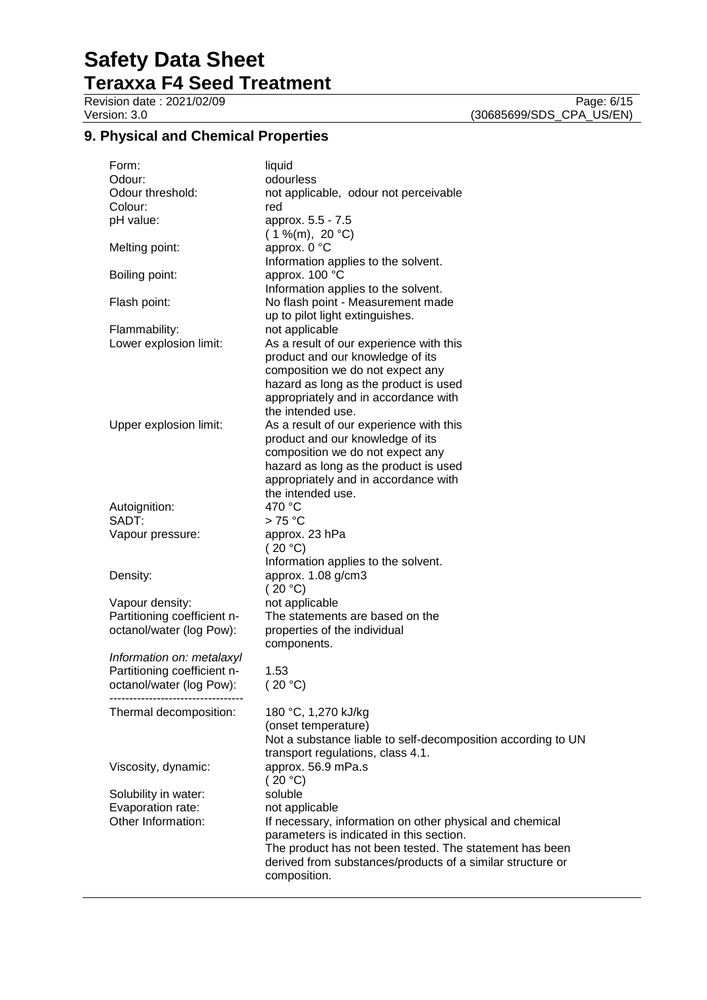Version: 3.0 (30685699/SDS\_CPA\_US/EN)

# **9. Physical and Chemical Properties**

| Form:                       | liquid                                                       |
|-----------------------------|--------------------------------------------------------------|
| Odour:                      | odourless                                                    |
| Odour threshold:            | not applicable, odour not perceivable                        |
| Colour:                     | red                                                          |
| pH value:                   | approx. 5.5 - 7.5<br>$(1\%$ (m), 20 °C)                      |
|                             | approx. 0 °C                                                 |
| Melting point:              |                                                              |
|                             | Information applies to the solvent.                          |
| Boiling point:              | approx. 100 °C<br>Information applies to the solvent.        |
|                             |                                                              |
| Flash point:                | No flash point - Measurement made                            |
|                             | up to pilot light extinguishes.                              |
| Flammability:               | not applicable                                               |
| Lower explosion limit:      | As a result of our experience with this                      |
|                             | product and our knowledge of its                             |
|                             | composition we do not expect any                             |
|                             | hazard as long as the product is used                        |
|                             | appropriately and in accordance with<br>the intended use.    |
|                             |                                                              |
| Upper explosion limit:      | As a result of our experience with this                      |
|                             | product and our knowledge of its                             |
|                             | composition we do not expect any                             |
|                             | hazard as long as the product is used                        |
|                             | appropriately and in accordance with                         |
|                             | the intended use.<br>470 °C                                  |
| Autoignition:<br>SADT:      |                                                              |
|                             | $>75^{\circ}$ C<br>approx. 23 hPa                            |
| Vapour pressure:            | (20 °C)                                                      |
|                             |                                                              |
| Density:                    | Information applies to the solvent.                          |
|                             | approx. 1.08 g/cm3<br>(20 °C)                                |
| Vapour density:             | not applicable                                               |
| Partitioning coefficient n- | The statements are based on the                              |
| octanol/water (log Pow):    | properties of the individual                                 |
|                             | components.                                                  |
| Information on: metalaxyl   |                                                              |
| Partitioning coefficient n- | 1.53                                                         |
| octanol/water (log Pow):    | 20 °C                                                        |
|                             |                                                              |
| Thermal decomposition:      | 180 °C, 1,270 kJ/kg                                          |
|                             | (onset temperature)                                          |
|                             | Not a substance liable to self-decomposition according to UN |
|                             | transport regulations, class 4.1.                            |
| Viscosity, dynamic:         | approx. 56.9 mPa.s                                           |
|                             | (20 °C)                                                      |
| Solubility in water:        | soluble                                                      |
| Evaporation rate:           | not applicable                                               |
| Other Information:          | If necessary, information on other physical and chemical     |
|                             | parameters is indicated in this section.                     |
|                             | The product has not been tested. The statement has been      |
|                             | derived from substances/products of a similar structure or   |
|                             | composition.                                                 |
|                             |                                                              |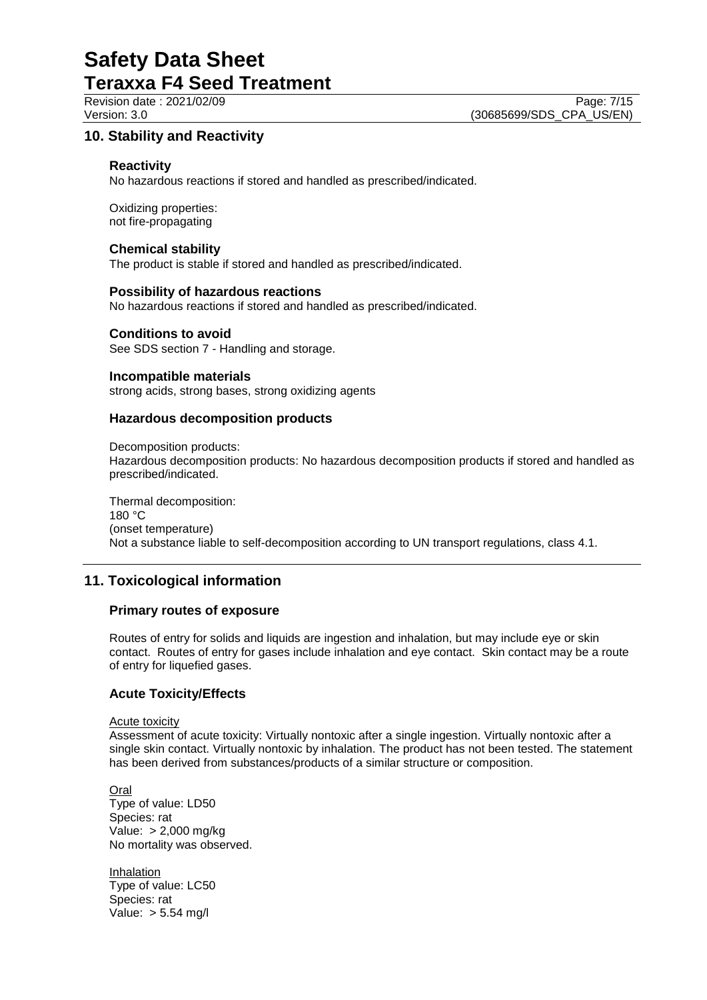# **10. Stability and Reactivity**

#### **Reactivity**

No hazardous reactions if stored and handled as prescribed/indicated.

Oxidizing properties: not fire-propagating

#### **Chemical stability**

The product is stable if stored and handled as prescribed/indicated.

#### **Possibility of hazardous reactions**

No hazardous reactions if stored and handled as prescribed/indicated.

# **Conditions to avoid**

See SDS section 7 - Handling and storage.

#### **Incompatible materials**

strong acids, strong bases, strong oxidizing agents

#### **Hazardous decomposition products**

Decomposition products: Hazardous decomposition products: No hazardous decomposition products if stored and handled as prescribed/indicated.

Thermal decomposition: 180 °C (onset temperature) Not a substance liable to self-decomposition according to UN transport regulations, class 4.1.

# **11. Toxicological information**

#### **Primary routes of exposure**

Routes of entry for solids and liquids are ingestion and inhalation, but may include eye or skin contact. Routes of entry for gases include inhalation and eye contact. Skin contact may be a route of entry for liquefied gases.

# **Acute Toxicity/Effects**

#### Acute toxicity

Assessment of acute toxicity: Virtually nontoxic after a single ingestion. Virtually nontoxic after a single skin contact. Virtually nontoxic by inhalation. The product has not been tested. The statement has been derived from substances/products of a similar structure or composition.

Oral Type of value: LD50 Species: rat Value: > 2,000 mg/kg No mortality was observed.

Inhalation Type of value: LC50 Species: rat Value: > 5.54 mg/l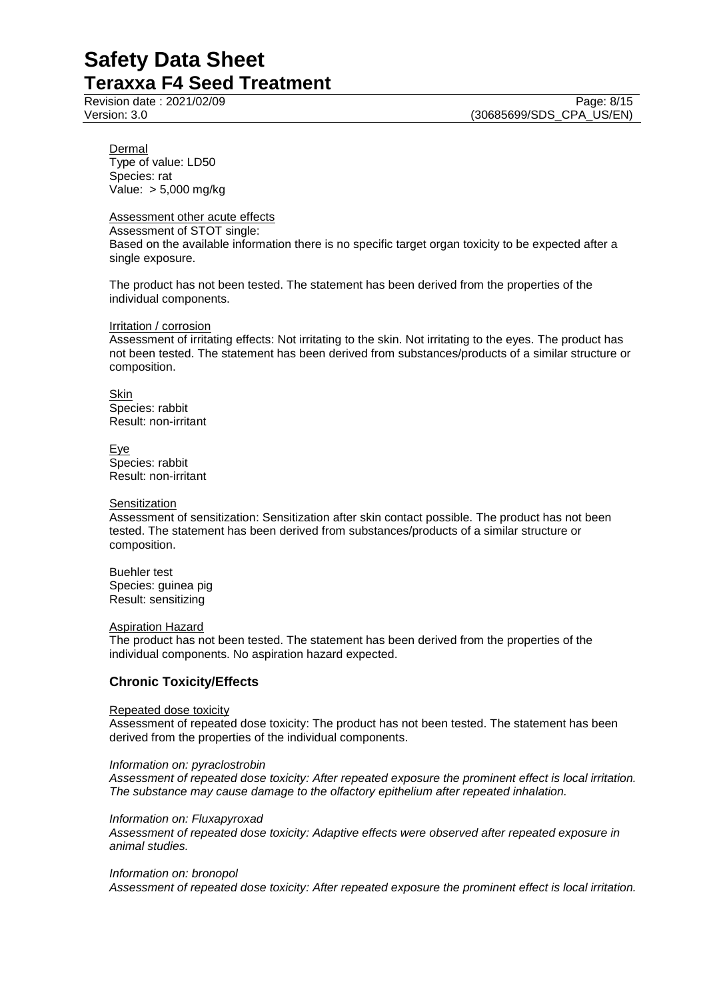Dermal Type of value: LD50 Species: rat Value: > 5,000 mg/kg

#### Assessment other acute effects

Assessment of STOT single: Based on the available information there is no specific target organ toxicity to be expected after a single exposure.

The product has not been tested. The statement has been derived from the properties of the individual components.

#### Irritation / corrosion

Assessment of irritating effects: Not irritating to the skin. Not irritating to the eyes. The product has not been tested. The statement has been derived from substances/products of a similar structure or composition.

**Skin** Species: rabbit Result: non-irritant

Eye Species: rabbit Result: non-irritant

#### **Sensitization**

Assessment of sensitization: Sensitization after skin contact possible. The product has not been tested. The statement has been derived from substances/products of a similar structure or composition.

Buehler test Species: guinea pig Result: sensitizing

#### Aspiration Hazard

The product has not been tested. The statement has been derived from the properties of the individual components. No aspiration hazard expected.

# **Chronic Toxicity/Effects**

#### Repeated dose toxicity

Assessment of repeated dose toxicity: The product has not been tested. The statement has been derived from the properties of the individual components.

#### *Information on: pyraclostrobin*

*Assessment of repeated dose toxicity: After repeated exposure the prominent effect is local irritation. The substance may cause damage to the olfactory epithelium after repeated inhalation.*

*Information on: Fluxapyroxad*

*Assessment of repeated dose toxicity: Adaptive effects were observed after repeated exposure in animal studies.*

#### *Information on: bronopol*

*Assessment of repeated dose toxicity: After repeated exposure the prominent effect is local irritation.*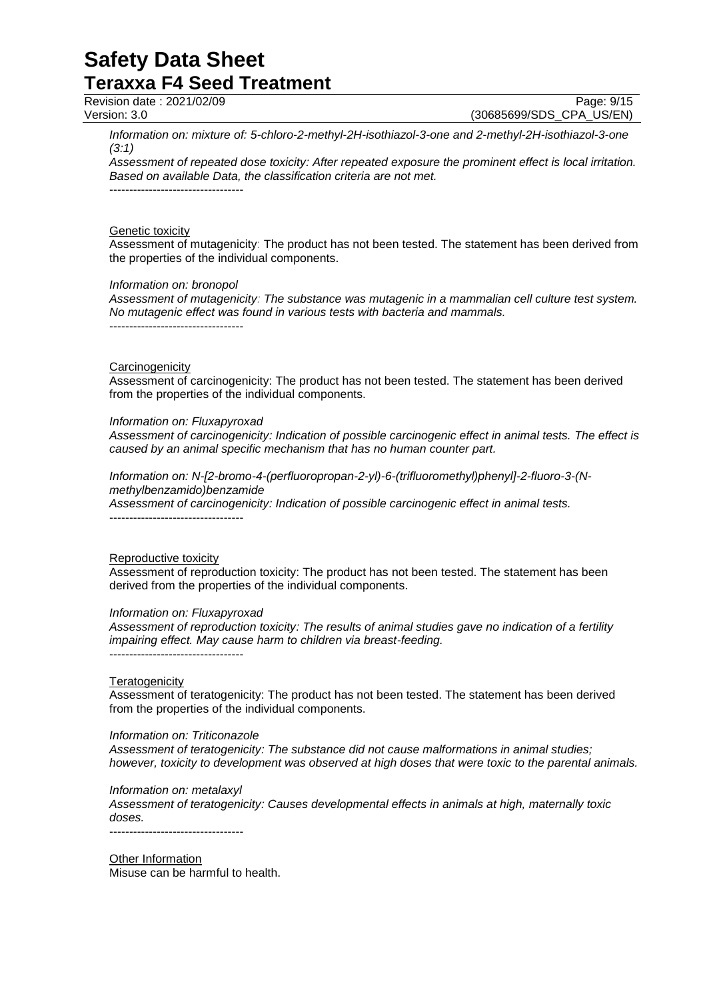Revision date : 2021/02/09<br>
Version: 3.0 (30685699/SDS CPA US/EN)

(30685699/SDS CPA US/EN)

*Information on: mixture of: 5-chloro-2-methyl-2H-isothiazol-3-one and 2-methyl-2H-isothiazol-3-one (3:1)*

*Assessment of repeated dose toxicity: After repeated exposure the prominent effect is local irritation. Based on available Data, the classification criteria are not met.* ----------------------------------

#### Genetic toxicity

Assessment of mutagenicity: The product has not been tested. The statement has been derived from the properties of the individual components.

#### *Information on: bronopol*

*Assessment of mutagenicity: The substance was mutagenic in a mammalian cell culture test system. No mutagenic effect was found in various tests with bacteria and mammals.*

----------------------------------

### **Carcinogenicity**

Assessment of carcinogenicity: The product has not been tested. The statement has been derived from the properties of the individual components.

### *Information on: Fluxapyroxad*

*Assessment of carcinogenicity: Indication of possible carcinogenic effect in animal tests. The effect is caused by an animal specific mechanism that has no human counter part.*

*Information on: N-[2-bromo-4-(perfluoropropan-2-yl)-6-(trifluoromethyl)phenyl]-2-fluoro-3-(Nmethylbenzamido)benzamide Assessment of carcinogenicity: Indication of possible carcinogenic effect in animal tests.*

----------------------------------

#### Reproductive toxicity

Assessment of reproduction toxicity: The product has not been tested. The statement has been derived from the properties of the individual components.

# *Information on: Fluxapyroxad*

*Assessment of reproduction toxicity: The results of animal studies gave no indication of a fertility impairing effect. May cause harm to children via breast-feeding.* ----------------------------------

#### **Teratogenicity**

Assessment of teratogenicity: The product has not been tested. The statement has been derived from the properties of the individual components.

#### *Information on: Triticonazole*

*Assessment of teratogenicity: The substance did not cause malformations in animal studies; however, toxicity to development was observed at high doses that were toxic to the parental animals.*

# *Information on: metalaxyl*

*Assessment of teratogenicity: Causes developmental effects in animals at high, maternally toxic doses.*

----------------------------------

Other Information Misuse can be harmful to health.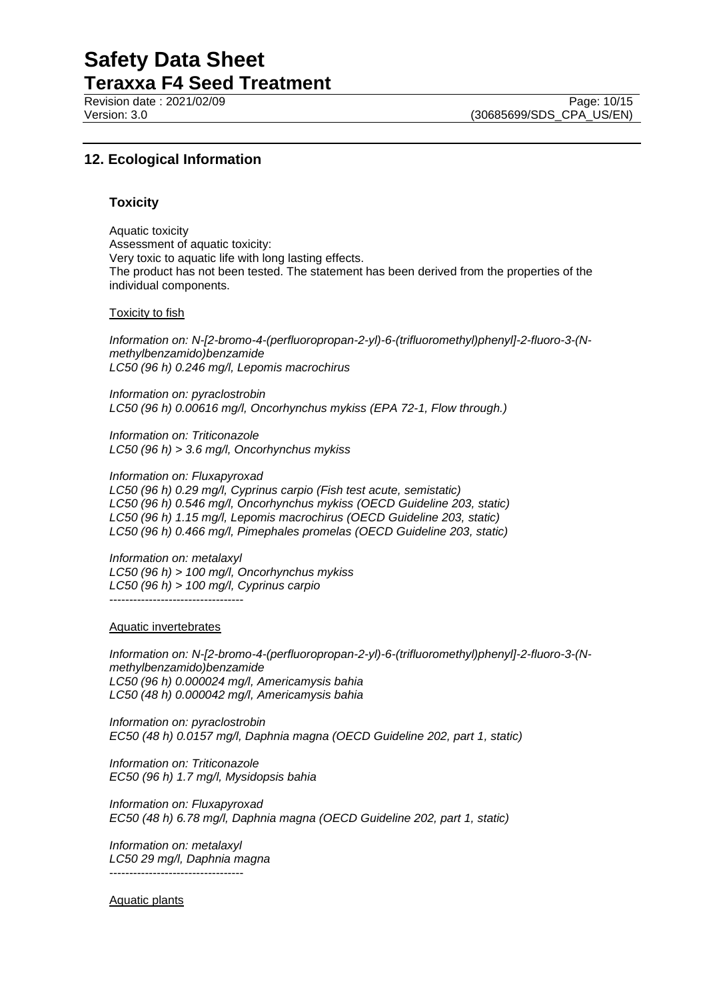Revision date : 2021/02/09 Page: 10/15<br>Version: 3.0 (30685699/SDS CPA US/EN)

(30685699/SDS\_CPA\_US/EN)

# **12. Ecological Information**

#### **Toxicity**

Aquatic toxicity Assessment of aquatic toxicity: Very toxic to aquatic life with long lasting effects. The product has not been tested. The statement has been derived from the properties of the individual components.

#### Toxicity to fish

*Information on: N-[2-bromo-4-(perfluoropropan-2-yl)-6-(trifluoromethyl)phenyl]-2-fluoro-3-(Nmethylbenzamido)benzamide LC50 (96 h) 0.246 mg/l, Lepomis macrochirus*

*Information on: pyraclostrobin LC50 (96 h) 0.00616 mg/l, Oncorhynchus mykiss (EPA 72-1, Flow through.)*

*Information on: Triticonazole LC50 (96 h) > 3.6 mg/l, Oncorhynchus mykiss*

*Information on: Fluxapyroxad LC50 (96 h) 0.29 mg/l, Cyprinus carpio (Fish test acute, semistatic) LC50 (96 h) 0.546 mg/l, Oncorhynchus mykiss (OECD Guideline 203, static) LC50 (96 h) 1.15 mg/l, Lepomis macrochirus (OECD Guideline 203, static) LC50 (96 h) 0.466 mg/l, Pimephales promelas (OECD Guideline 203, static)*

*Information on: metalaxyl LC50 (96 h) > 100 mg/l, Oncorhynchus mykiss LC50 (96 h) > 100 mg/l, Cyprinus carpio* ----------------------------------

Aquatic invertebrates

*Information on: N-[2-bromo-4-(perfluoropropan-2-yl)-6-(trifluoromethyl)phenyl]-2-fluoro-3-(Nmethylbenzamido)benzamide LC50 (96 h) 0.000024 mg/l, Americamysis bahia LC50 (48 h) 0.000042 mg/l, Americamysis bahia*

*Information on: pyraclostrobin EC50 (48 h) 0.0157 mg/l, Daphnia magna (OECD Guideline 202, part 1, static)*

*Information on: Triticonazole EC50 (96 h) 1.7 mg/l, Mysidopsis bahia*

*Information on: Fluxapyroxad EC50 (48 h) 6.78 mg/l, Daphnia magna (OECD Guideline 202, part 1, static)*

*Information on: metalaxyl LC50 29 mg/l, Daphnia magna* ----------------------------------

#### Aquatic plants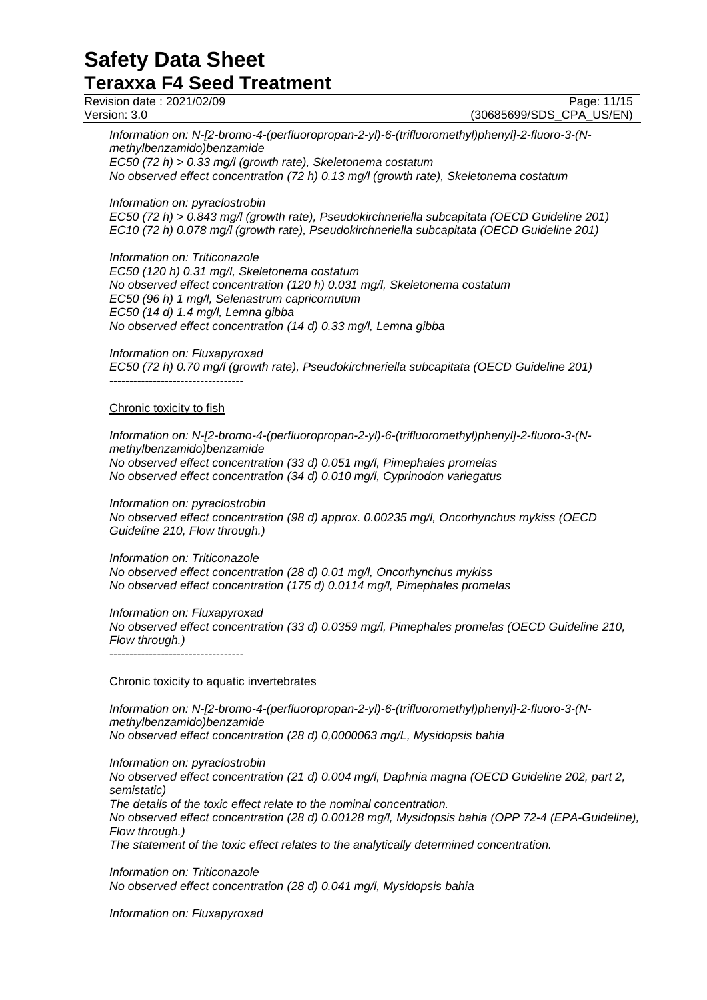Revision date : 2021/02/09 Page: 11/15<br>Version: 3.0 (30685699/SDS CPA US/EN)

(30685699/SDS\_CPA\_US/EN)

*Information on: N-[2-bromo-4-(perfluoropropan-2-yl)-6-(trifluoromethyl)phenyl]-2-fluoro-3-(Nmethylbenzamido)benzamide*

*EC50 (72 h) > 0.33 mg/l (growth rate), Skeletonema costatum No observed effect concentration (72 h) 0.13 mg/l (growth rate), Skeletonema costatum*

*Information on: pyraclostrobin*

*EC50 (72 h) > 0.843 mg/l (growth rate), Pseudokirchneriella subcapitata (OECD Guideline 201) EC10 (72 h) 0.078 mg/l (growth rate), Pseudokirchneriella subcapitata (OECD Guideline 201)*

*Information on: Triticonazole*

*EC50 (120 h) 0.31 mg/l, Skeletonema costatum No observed effect concentration (120 h) 0.031 mg/l, Skeletonema costatum EC50 (96 h) 1 mg/l, Selenastrum capricornutum EC50 (14 d) 1.4 mg/l, Lemna gibba No observed effect concentration (14 d) 0.33 mg/l, Lemna gibba*

*Information on: Fluxapyroxad EC50 (72 h) 0.70 mg/l (growth rate), Pseudokirchneriella subcapitata (OECD Guideline 201)* ----------------------------------

#### Chronic toxicity to fish

*Information on: N-[2-bromo-4-(perfluoropropan-2-yl)-6-(trifluoromethyl)phenyl]-2-fluoro-3-(Nmethylbenzamido)benzamide No observed effect concentration (33 d) 0.051 mg/l, Pimephales promelas No observed effect concentration (34 d) 0.010 mg/l, Cyprinodon variegatus*

*Information on: pyraclostrobin No observed effect concentration (98 d) approx. 0.00235 mg/l, Oncorhynchus mykiss (OECD Guideline 210, Flow through.)*

*Information on: Triticonazole No observed effect concentration (28 d) 0.01 mg/l, Oncorhynchus mykiss No observed effect concentration (175 d) 0.0114 mg/l, Pimephales promelas*

*Information on: Fluxapyroxad No observed effect concentration (33 d) 0.0359 mg/l, Pimephales promelas (OECD Guideline 210, Flow through.)* ----------------------------------

#### Chronic toxicity to aquatic invertebrates

*Information on: N-[2-bromo-4-(perfluoropropan-2-yl)-6-(trifluoromethyl)phenyl]-2-fluoro-3-(Nmethylbenzamido)benzamide No observed effect concentration (28 d) 0,0000063 mg/L, Mysidopsis bahia*

*Information on: pyraclostrobin*

*No observed effect concentration (21 d) 0.004 mg/l, Daphnia magna (OECD Guideline 202, part 2, semistatic)*

*The details of the toxic effect relate to the nominal concentration.*

*No observed effect concentration (28 d) 0.00128 mg/l, Mysidopsis bahia (OPP 72-4 (EPA-Guideline), Flow through.)*

*The statement of the toxic effect relates to the analytically determined concentration.*

*Information on: Triticonazole No observed effect concentration (28 d) 0.041 mg/l, Mysidopsis bahia*

*Information on: Fluxapyroxad*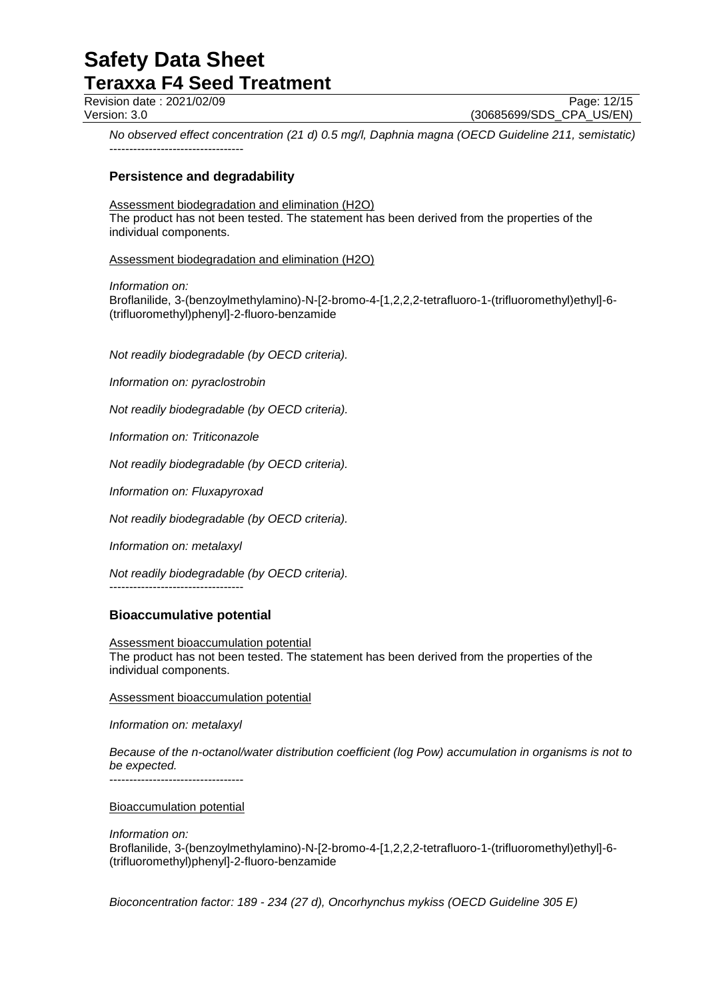Revision date : 2021/02/09 Page: 12/15<br>Version: 3.0 (30685699/SDS CPA US/EN) (30685699/SDS\_CPA\_US/EN)

*No observed effect concentration (21 d) 0.5 mg/l, Daphnia magna (OECD Guideline 211, semistatic)* ----------------------------------

# **Persistence and degradability**

### Assessment biodegradation and elimination (H2O)

The product has not been tested. The statement has been derived from the properties of the individual components.

Assessment biodegradation and elimination (H2O)

*Information on:*

Broflanilide, 3-(benzoylmethylamino)-N-[2-bromo-4-[1,2,2,2-tetrafluoro-1-(trifluoromethyl)ethyl]-6- (trifluoromethyl)phenyl]-2-fluoro-benzamide

*Not readily biodegradable (by OECD criteria).*

*Information on: pyraclostrobin*

*Not readily biodegradable (by OECD criteria).*

*Information on: Triticonazole*

*Not readily biodegradable (by OECD criteria).*

*Information on: Fluxapyroxad*

*Not readily biodegradable (by OECD criteria).*

*Information on: metalaxyl*

*Not readily biodegradable (by OECD criteria).*

----------------------------------

# **Bioaccumulative potential**

Assessment bioaccumulation potential The product has not been tested. The statement has been derived from the properties of the individual components.

Assessment bioaccumulation potential

*Information on: metalaxyl*

*Because of the n-octanol/water distribution coefficient (log Pow) accumulation in organisms is not to be expected.* ----------------------------------

Bioaccumulation potential

*Information on:* Broflanilide, 3-(benzoylmethylamino)-N-[2-bromo-4-[1,2,2,2-tetrafluoro-1-(trifluoromethyl)ethyl]-6- (trifluoromethyl)phenyl]-2-fluoro-benzamide

*Bioconcentration factor: 189 - 234 (27 d), Oncorhynchus mykiss (OECD Guideline 305 E)*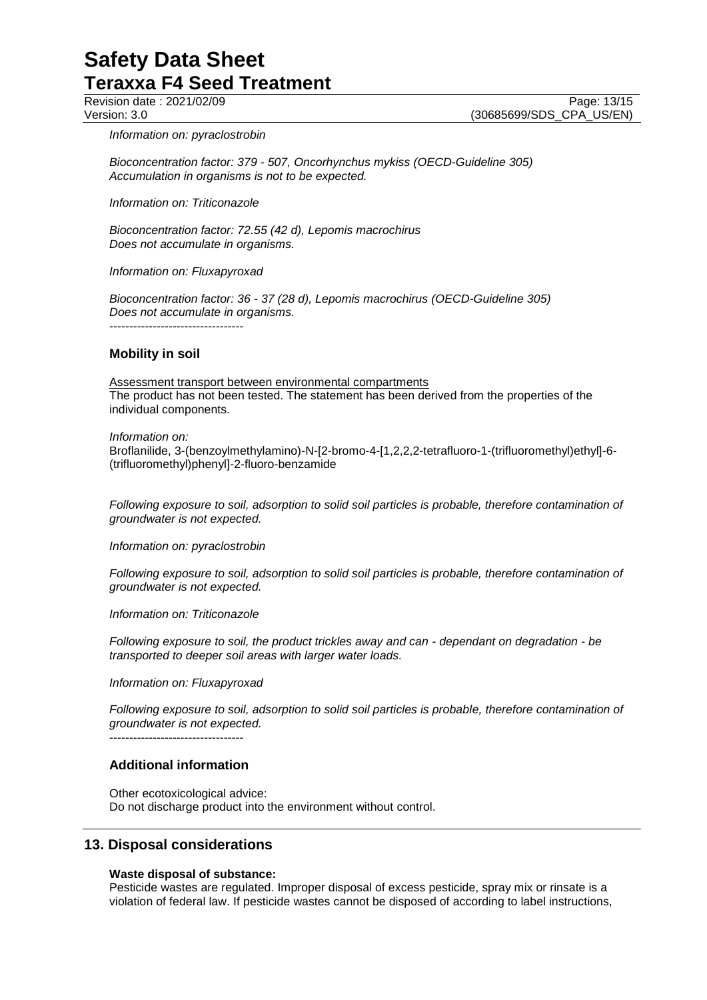Revision date : 2021/02/09 Page: 13/15<br>Version: 3.0 (30685699/SDS CPA US/EN) (30685699/SDS\_CPA\_US/EN)

*Information on: pyraclostrobin*

*Bioconcentration factor: 379 - 507, Oncorhynchus mykiss (OECD-Guideline 305) Accumulation in organisms is not to be expected.*

*Information on: Triticonazole*

*Bioconcentration factor: 72.55 (42 d), Lepomis macrochirus Does not accumulate in organisms.*

*Information on: Fluxapyroxad*

*Bioconcentration factor: 36 - 37 (28 d), Lepomis macrochirus (OECD-Guideline 305) Does not accumulate in organisms.*

----------------------------------

#### **Mobility in soil**

Assessment transport between environmental compartments The product has not been tested. The statement has been derived from the properties of the individual components.

*Information on:* Broflanilide, 3-(benzoylmethylamino)-N-[2-bromo-4-[1,2,2,2-tetrafluoro-1-(trifluoromethyl)ethyl]-6- (trifluoromethyl)phenyl]-2-fluoro-benzamide

*Following exposure to soil, adsorption to solid soil particles is probable, therefore contamination of groundwater is not expected.*

*Information on: pyraclostrobin*

*Following exposure to soil, adsorption to solid soil particles is probable, therefore contamination of groundwater is not expected.*

*Information on: Triticonazole*

*Following exposure to soil, the product trickles away and can - dependant on degradation - be transported to deeper soil areas with larger water loads.*

*Information on: Fluxapyroxad*

*Following exposure to soil, adsorption to solid soil particles is probable, therefore contamination of groundwater is not expected.* ----------------------------------

#### **Additional information**

Other ecotoxicological advice: Do not discharge product into the environment without control.

# **13. Disposal considerations**

#### **Waste disposal of substance:**

Pesticide wastes are regulated. Improper disposal of excess pesticide, spray mix or rinsate is a violation of federal law. If pesticide wastes cannot be disposed of according to label instructions,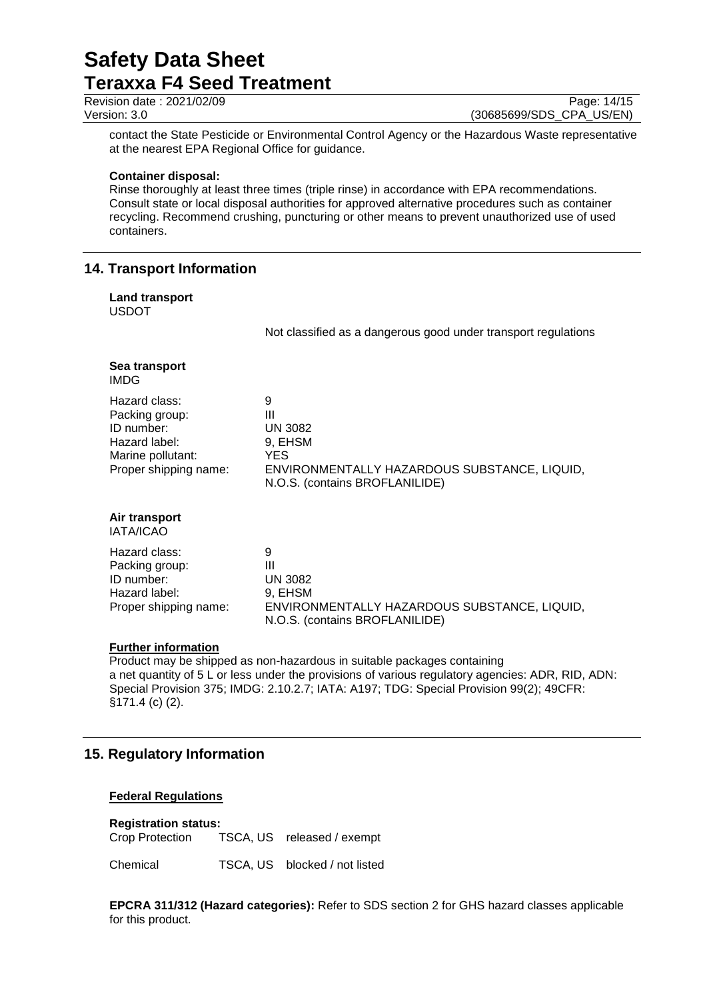| Revision date: 2021/02/09 | Page: 14/15 |
|---------------------------|-------------|
| $\lambda$                 |             |

Version: 3.0 (30685699/SDS\_CPA\_US/EN)

contact the State Pesticide or Environmental Control Agency or the Hazardous Waste representative at the nearest EPA Regional Office for guidance.

#### **Container disposal:**

Rinse thoroughly at least three times (triple rinse) in accordance with EPA recommendations. Consult state or local disposal authorities for approved alternative procedures such as container recycling. Recommend crushing, puncturing or other means to prevent unauthorized use of used containers.

# **14. Transport Information**

#### **Land transport** USDOT

Not classified as a dangerous good under transport regulations

| Sea transport<br>IMDG                                                                                        |                                                                                                                        |
|--------------------------------------------------------------------------------------------------------------|------------------------------------------------------------------------------------------------------------------------|
| Hazard class:<br>Packing group:<br>ID number:<br>Hazard label:<br>Marine pollutant:<br>Proper shipping name: | 9<br>Ш<br>UN 3082<br>9, EHSM<br>YES.<br>ENVIRONMENTALLY HAZARDOUS SUBSTANCE, LIQUID,<br>N.O.S. (contains BROFLANILIDE) |
| Air transport<br><b>IATA/ICAO</b>                                                                            |                                                                                                                        |
| Hazard class:<br>Packing group:<br>ID number:<br>Hazard label:<br>Proper shipping name:                      | 9<br>Ш<br>UN 3082<br>9, EHSM<br>ENVIRONMENTALLY HAZARDOUS SUBSTANCE, LIQUID,<br>N.O.S. (contains BROFLANILIDE)         |

# **Further information**

Product may be shipped as non-hazardous in suitable packages containing a net quantity of 5 L or less under the provisions of various regulatory agencies: ADR, RID, ADN: Special Provision 375; IMDG: 2.10.2.7; IATA: A197; TDG: Special Provision 99(2); 49CFR: §171.4 (c) (2).

# **15. Regulatory Information**

# **Federal Regulations**

**Registration status:** TSCA, US released / exempt

Chemical TSCA, US blocked / not listed

**EPCRA 311/312 (Hazard categories):** Refer to SDS section 2 for GHS hazard classes applicable for this product.